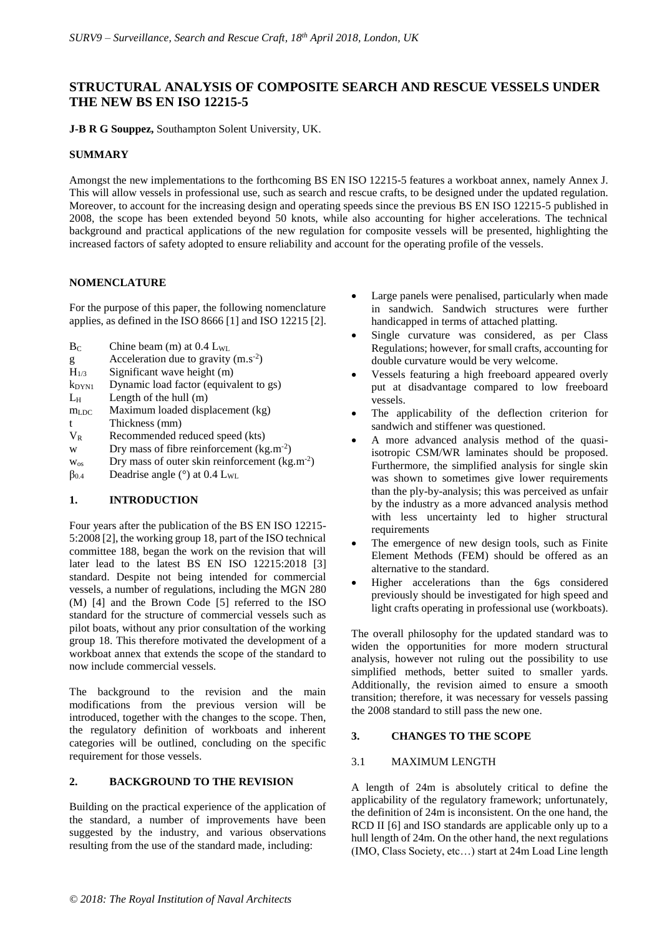# **STRUCTURAL ANALYSIS OF COMPOSITE SEARCH AND RESCUE VESSELS UNDER THE NEW BS EN ISO 12215-5**

**J-B R G Souppez,** Southampton Solent University, UK.

## **SUMMARY**

Amongst the new implementations to the forthcoming BS EN ISO 12215-5 features a workboat annex, namely Annex J. This will allow vessels in professional use, such as search and rescue crafts, to be designed under the updated regulation. Moreover, to account for the increasing design and operating speeds since the previous BS EN ISO 12215-5 published in 2008, the scope has been extended beyond 50 knots, while also accounting for higher accelerations. The technical background and practical applications of the new regulation for composite vessels will be presented, highlighting the increased factors of safety adopted to ensure reliability and account for the operating profile of the vessels.

## **NOMENCLATURE**

For the purpose of this paper, the following nomenclature applies, as defined in the ISO 8666 [1] and ISO 12215 [2].

- $B_C$  Chine beam (m) at 0.4 L<sub>WL</sub>
- g Acceleration due to gravity  $(m.s<sup>-2</sup>)$
- $H_{1/3}$  Significant wave height (m)
- $k_{DYN1}$  Dynamic load factor (equivalent to gs)
- $L_H$  Length of the hull  $(m)$
- m<sub>LDC</sub> Maximum loaded displacement (kg)
- t Thickness (mm)
- V<sub>R</sub> Recommended reduced speed (kts)
- w Dry mass of fibre reinforcement  $(kg.m^{-2})$
- $w_{os}$  Dry mass of outer skin reinforcement (kg.m<sup>-2</sup>)
- $\beta_{0.4}$  Deadrise angle (°) at 0.4 L<sub>WL</sub>

## **1. INTRODUCTION**

Four years after the publication of the BS EN ISO 12215- 5:2008 [2], the working group 18, part of the ISO technical committee 188, began the work on the revision that will later lead to the latest BS EN ISO 12215:2018 [3] standard. Despite not being intended for commercial vessels, a number of regulations, including the MGN 280 (M) [4] and the Brown Code [5] referred to the ISO standard for the structure of commercial vessels such as pilot boats, without any prior consultation of the working group 18. This therefore motivated the development of a workboat annex that extends the scope of the standard to now include commercial vessels.

The background to the revision and the main modifications from the previous version will be introduced, together with the changes to the scope. Then, the regulatory definition of workboats and inherent categories will be outlined, concluding on the specific requirement for those vessels.

## **2. BACKGROUND TO THE REVISION**

Building on the practical experience of the application of the standard, a number of improvements have been suggested by the industry, and various observations resulting from the use of the standard made, including:

- Large panels were penalised, particularly when made in sandwich. Sandwich structures were further handicapped in terms of attached platting.
- Single curvature was considered, as per Class Regulations; however, for small crafts, accounting for double curvature would be very welcome.
- Vessels featuring a high freeboard appeared overly put at disadvantage compared to low freeboard vessels.
- The applicability of the deflection criterion for sandwich and stiffener was questioned.
- A more advanced analysis method of the quasiisotropic CSM/WR laminates should be proposed. Furthermore, the simplified analysis for single skin was shown to sometimes give lower requirements than the ply-by-analysis; this was perceived as unfair by the industry as a more advanced analysis method with less uncertainty led to higher structural requirements
- The emergence of new design tools, such as Finite Element Methods (FEM) should be offered as an alternative to the standard.
- Higher accelerations than the 6gs considered previously should be investigated for high speed and light crafts operating in professional use (workboats).

The overall philosophy for the updated standard was to widen the opportunities for more modern structural analysis, however not ruling out the possibility to use simplified methods, better suited to smaller yards. Additionally, the revision aimed to ensure a smooth transition; therefore, it was necessary for vessels passing the 2008 standard to still pass the new one.

## **3. CHANGES TO THE SCOPE**

## 3.1 MAXIMUM LENGTH

A length of 24m is absolutely critical to define the applicability of the regulatory framework; unfortunately, the definition of 24m is inconsistent. On the one hand, the RCD II [6] and ISO standards are applicable only up to a hull length of 24m. On the other hand, the next regulations (IMO, Class Society, etc…) start at 24m Load Line length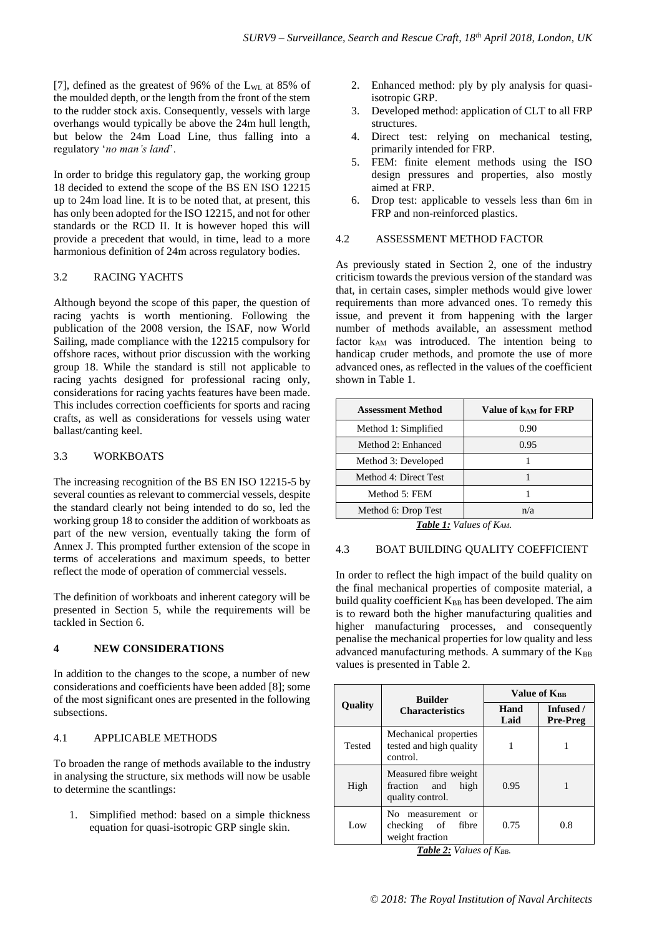[7], defined as the greatest of 96% of the  $L_{WL}$  at 85% of the moulded depth, or the length from the front of the stem to the rudder stock axis. Consequently, vessels with large overhangs would typically be above the 24m hull length, but below the 24m Load Line, thus falling into a regulatory '*no man's land*'.

In order to bridge this regulatory gap, the working group 18 decided to extend the scope of the BS EN ISO 12215 up to 24m load line. It is to be noted that, at present, this has only been adopted for the ISO 12215, and not for other standards or the RCD II. It is however hoped this will provide a precedent that would, in time, lead to a more harmonious definition of 24m across regulatory bodies.

## 3.2 RACING YACHTS

Although beyond the scope of this paper, the question of racing yachts is worth mentioning. Following the publication of the 2008 version, the ISAF, now World Sailing, made compliance with the 12215 compulsory for offshore races, without prior discussion with the working group 18. While the standard is still not applicable to racing yachts designed for professional racing only, considerations for racing yachts features have been made. This includes correction coefficients for sports and racing crafts, as well as considerations for vessels using water ballast/canting keel.

## 3.3 WORKBOATS

The increasing recognition of the BS EN ISO 12215-5 by several counties as relevant to commercial vessels, despite the standard clearly not being intended to do so, led the working group 18 to consider the addition of workboats as part of the new version, eventually taking the form of Annex J. This prompted further extension of the scope in terms of accelerations and maximum speeds, to better reflect the mode of operation of commercial vessels.

The definition of workboats and inherent category will be presented in Section 5, while the requirements will be tackled in Section 6.

## **4 NEW CONSIDERATIONS**

In addition to the changes to the scope, a number of new considerations and coefficients have been added [8]; some of the most significant ones are presented in the following subsections.

## 4.1 APPLICABLE METHODS

To broaden the range of methods available to the industry in analysing the structure, six methods will now be usable to determine the scantlings:

1. Simplified method: based on a simple thickness equation for quasi-isotropic GRP single skin.

- 2. Enhanced method: ply by ply analysis for quasiisotropic GRP.
- 3. Developed method: application of CLT to all FRP structures.
- 4. Direct test: relying on mechanical testing, primarily intended for FRP.
- 5. FEM: finite element methods using the ISO design pressures and properties, also mostly aimed at FRP.
- 6. Drop test: applicable to vessels less than 6m in FRP and non-reinforced plastics.

### 4.2 ASSESSMENT METHOD FACTOR

As previously stated in Section 2, one of the industry criticism towards the previous version of the standard was that, in certain cases, simpler methods would give lower requirements than more advanced ones. To remedy this issue, and prevent it from happening with the larger number of methods available, an assessment method factor k<sub>AM</sub> was introduced. The intention being to handicap cruder methods, and promote the use of more advanced ones, as reflected in the values of the coefficient shown in Table 1.

| <b>Assessment Method</b> | Value of kAM for FRP |
|--------------------------|----------------------|
| Method 1: Simplified     | 0.90                 |
| Method 2: Enhanced       | 0.95                 |
| Method 3: Developed      |                      |
| Method 4: Direct Test    |                      |
| Method 5: FEM            |                      |
| Method 6: Drop Test      | n/a                  |

*Table 1: Values of KAM.*

## 4.3 BOAT BUILDING QUALITY COEFFICIENT

In order to reflect the high impact of the build quality on the final mechanical properties of composite material, a build quality coefficient  $K_{BB}$  has been developed. The aim is to reward both the higher manufacturing qualities and higher manufacturing processes, and consequently penalise the mechanical properties for low quality and less advanced manufacturing methods. A summary of the  $K_{BB}$ values is presented in Table 2.

|                                          | <b>Builder</b>                                                      | Value of KRR |                       |
|------------------------------------------|---------------------------------------------------------------------|--------------|-----------------------|
| <b>Quality</b><br><b>Characteristics</b> |                                                                     | Hand<br>Laid | Infused /<br>Pre-Preg |
| Tested                                   | Mechanical properties<br>tested and high quality<br>control.        |              |                       |
| High                                     | Measured fibre weight<br>fraction and<br>high<br>quality control.   | 0.95         |                       |
| Low                                      | No.<br>measurement<br>or<br>checking of<br>fibre<br>weight fraction | 0.75         | 0.8                   |

*Table 2: Values of KBB.*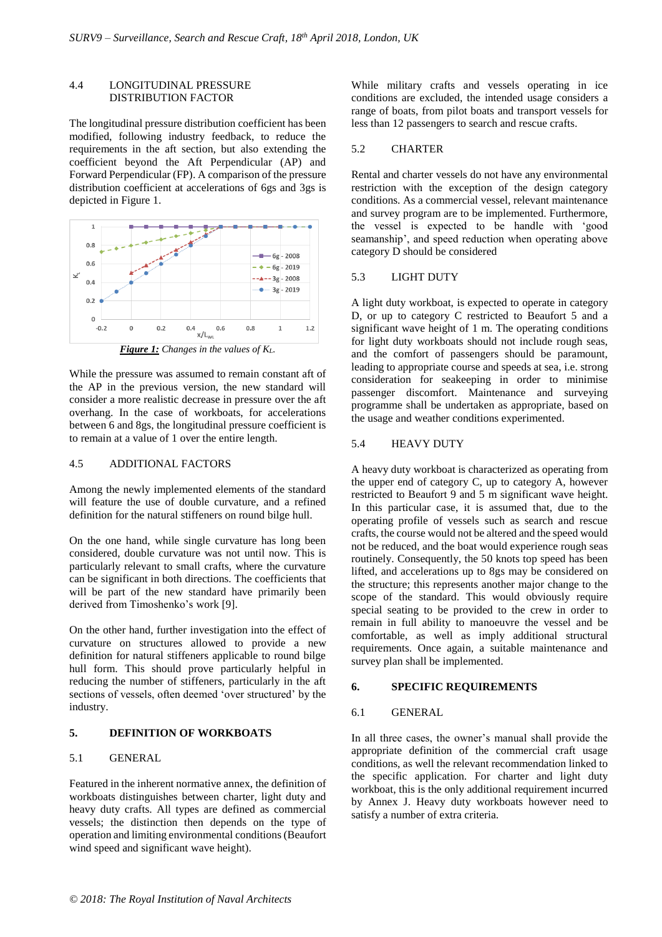### 4.4 LONGITUDINAL PRESSURE DISTRIBUTION FACTOR

The longitudinal pressure distribution coefficient has been modified, following industry feedback, to reduce the requirements in the aft section, but also extending the coefficient beyond the Aft Perpendicular (AP) and Forward Perpendicular (FP). A comparison of the pressure distribution coefficient at accelerations of 6gs and 3gs is depicted in Figure 1.



While the pressure was assumed to remain constant aft of the AP in the previous version, the new standard will consider a more realistic decrease in pressure over the aft overhang. In the case of workboats, for accelerations between 6 and 8gs, the longitudinal pressure coefficient is to remain at a value of 1 over the entire length.

### 4.5 ADDITIONAL FACTORS

Among the newly implemented elements of the standard will feature the use of double curvature, and a refined definition for the natural stiffeners on round bilge hull.

On the one hand, while single curvature has long been considered, double curvature was not until now. This is particularly relevant to small crafts, where the curvature can be significant in both directions. The coefficients that will be part of the new standard have primarily been derived from Timoshenko's work [9].

On the other hand, further investigation into the effect of curvature on structures allowed to provide a new definition for natural stiffeners applicable to round bilge hull form. This should prove particularly helpful in reducing the number of stiffeners, particularly in the aft sections of vessels, often deemed 'over structured' by the industry.

#### **5. DEFINITION OF WORKBOATS**

#### 5.1 GENERAL

Featured in the inherent normative annex, the definition of workboats distinguishes between charter, light duty and heavy duty crafts. All types are defined as commercial vessels; the distinction then depends on the type of operation and limiting environmental conditions (Beaufort wind speed and significant wave height).

While military crafts and vessels operating in ice conditions are excluded, the intended usage considers a range of boats, from pilot boats and transport vessels for less than 12 passengers to search and rescue crafts.

#### 5.2 CHARTER

Rental and charter vessels do not have any environmental restriction with the exception of the design category conditions. As a commercial vessel, relevant maintenance and survey program are to be implemented. Furthermore, the vessel is expected to be handle with 'good seamanship', and speed reduction when operating above category D should be considered

#### 5.3 LIGHT DUTY

A light duty workboat, is expected to operate in category D, or up to category C restricted to Beaufort 5 and a significant wave height of 1 m. The operating conditions for light duty workboats should not include rough seas, and the comfort of passengers should be paramount, leading to appropriate course and speeds at sea, i.e. strong consideration for seakeeping in order to minimise passenger discomfort. Maintenance and surveying programme shall be undertaken as appropriate, based on the usage and weather conditions experimented.

### 5.4 HEAVY DUTY

A heavy duty workboat is characterized as operating from the upper end of category C, up to category A, however restricted to Beaufort 9 and 5 m significant wave height. In this particular case, it is assumed that, due to the operating profile of vessels such as search and rescue crafts, the course would not be altered and the speed would not be reduced, and the boat would experience rough seas routinely. Consequently, the 50 knots top speed has been lifted, and accelerations up to 8gs may be considered on the structure; this represents another major change to the scope of the standard. This would obviously require special seating to be provided to the crew in order to remain in full ability to manoeuvre the vessel and be comfortable, as well as imply additional structural requirements. Once again, a suitable maintenance and survey plan shall be implemented.

#### **6. SPECIFIC REQUIREMENTS**

#### 6.1 GENERAL

In all three cases, the owner's manual shall provide the appropriate definition of the commercial craft usage conditions, as well the relevant recommendation linked to the specific application. For charter and light duty workboat, this is the only additional requirement incurred by Annex J. Heavy duty workboats however need to satisfy a number of extra criteria.